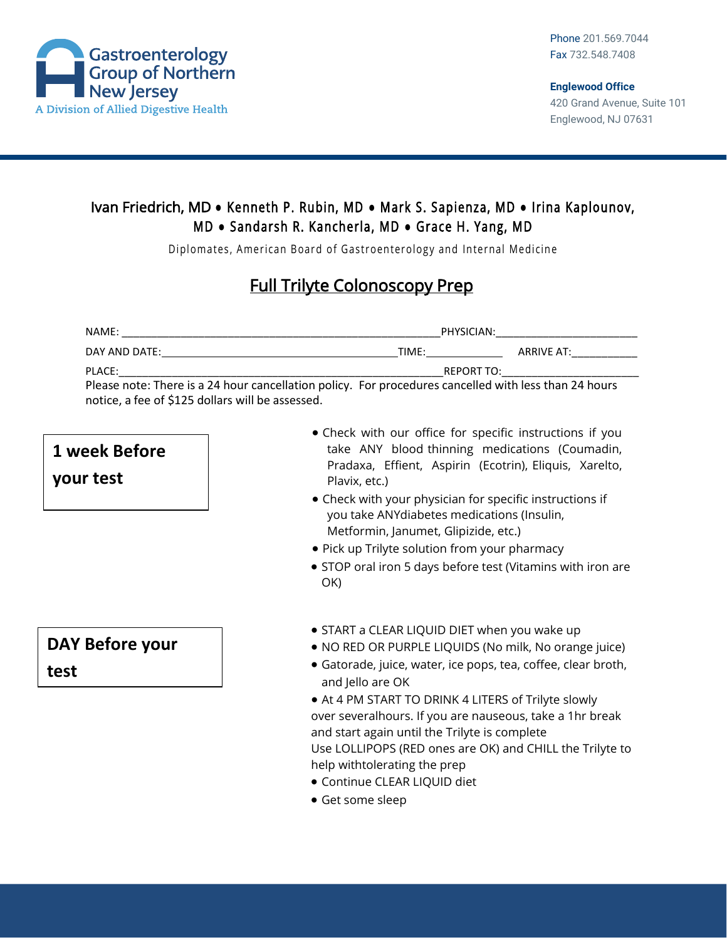

### Ivan Friedrich, MD **●** Kenneth P. Rubin, MD **●** Mark S. Sapienza, MD **●** Irina Kaplounov, M D **●** Sandarsh R. Kancherla, MD **●** Grace H. Yang, MD

Diplomates, American Board of Gastroenterology and Internal Medicine

## Full Trilyte Colonoscopy Prep

| NAME:                                                                                                 | PHYSICIAN: |            |
|-------------------------------------------------------------------------------------------------------|------------|------------|
| DAY AND DATE:                                                                                         | TIME:      | ARRIVE AT: |
| PLACE:                                                                                                | REPORT TO: |            |
| Please note: There is a 24 hour cancellation policy. For procedures cancelled with less than 24 hours |            |            |
| notice, a fee of \$125 dollars will be assessed.                                                      |            |            |

# **1 week Before**

**your test**

### • Check with our office for specific instructions if you take ANY blood thinning medications (Coumadin, Pradaxa, Effient, Aspirin (Ecotrin), Eliquis, Xarelto, Plavix, etc.)

- Check with your physician for specific instructions if you take ANYdiabetes medications (Insulin, Metformin, Janumet, Glipizide, etc.)
- Pick up Trilyte solution from your pharmacy
- STOP oral iron 5 days before test (Vitamins with iron are OK)
- START a CLEAR LIQUID DIET when you wake up
- NO RED OR PURPLE LIQUIDS (No milk, No orange juice)
- Gatorade, juice, water, ice pops, tea, coffee, clear broth, and Jello are OK
- At 4 PM START TO DRINK 4 LITERS of Trilyte slowly over severalhours. If you are nauseous, take a 1hr break and start again until the Trilyte is complete Use LOLLIPOPS (RED ones are OK) and CHILL the Trilyte to help withtolerating the prep
- Continue CLEAR LIQUID diet
- Get some sleep

# **DAY Before your test**